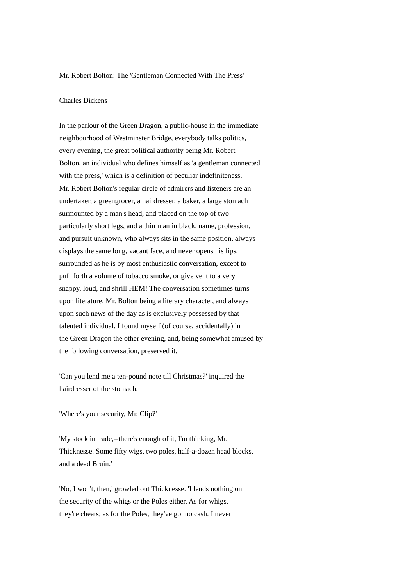## Mr. Robert Bolton: The 'Gentleman Connected With The Press'

## Charles Dickens

In the parlour of the Green Dragon, a public-house in the immediate neighbourhood of Westminster Bridge, everybody talks politics, every evening, the great political authority being Mr. Robert Bolton, an individual who defines himself as 'a gentleman connected with the press,' which is a definition of peculiar indefiniteness. Mr. Robert Bolton's regular circle of admirers and listeners are an undertaker, a greengrocer, a hairdresser, a baker, a large stomach surmounted by a man's head, and placed on the top of two particularly short legs, and a thin man in black, name, profession, and pursuit unknown, who always sits in the same position, always displays the same long, vacant face, and never opens his lips, surrounded as he is by most enthusiastic conversation, except to puff forth a volume of tobacco smoke, or give vent to a very snappy, loud, and shrill HEM! The conversation sometimes turns upon literature, Mr. Bolton being a literary character, and always upon such news of the day as is exclusively possessed by that talented individual. I found myself (of course, accidentally) in the Green Dragon the other evening, and, being somewhat amused by the following conversation, preserved it.

'Can you lend me a ten-pound note till Christmas?' inquired the hairdresser of the stomach.

'Where's your security, Mr. Clip?'

'My stock in trade,--there's enough of it, I'm thinking, Mr. Thicknesse. Some fifty wigs, two poles, half-a-dozen head blocks, and a dead Bruin.'

'No, I won't, then,' growled out Thicknesse. 'I lends nothing on the security of the whigs or the Poles either. As for whigs, they're cheats; as for the Poles, they've got no cash. I never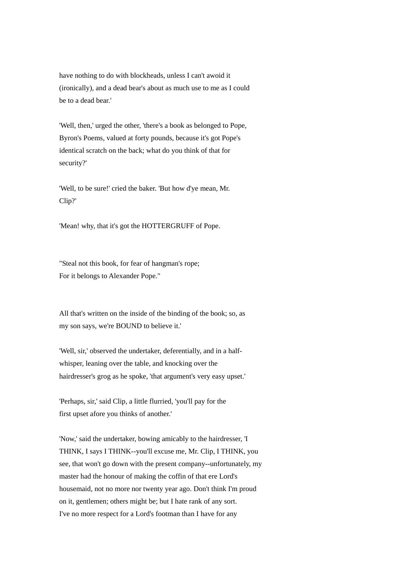have nothing to do with blockheads, unless I can't awoid it (ironically), and a dead bear's about as much use to me as I could be to a dead bear.'

'Well, then,' urged the other, 'there's a book as belonged to Pope, Byron's Poems, valued at forty pounds, because it's got Pope's identical scratch on the back; what do you think of that for security?'

'Well, to be sure!' cried the baker. 'But how d'ye mean, Mr. Clip?'

'Mean! why, that it's got the HOTTERGRUFF of Pope.

"Steal not this book, for fear of hangman's rope; For it belongs to Alexander Pope."

All that's written on the inside of the binding of the book; so, as my son says, we're BOUND to believe it.'

'Well, sir,' observed the undertaker, deferentially, and in a halfwhisper, leaning over the table, and knocking over the hairdresser's grog as he spoke, 'that argument's very easy upset.'

'Perhaps, sir,' said Clip, a little flurried, 'you'll pay for the first upset afore you thinks of another.'

'Now,' said the undertaker, bowing amicably to the hairdresser, 'I THINK, I says I THINK--you'll excuse me, Mr. Clip, I THINK, you see, that won't go down with the present company--unfortunately, my master had the honour of making the coffin of that ere Lord's housemaid, not no more nor twenty year ago. Don't think I'm proud on it, gentlemen; others might be; but I hate rank of any sort. I've no more respect for a Lord's footman than I have for any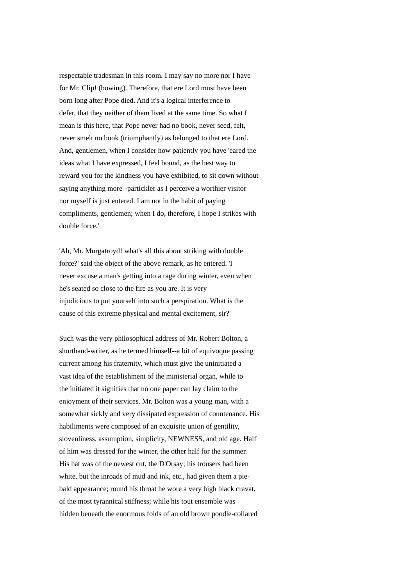respectable tradesman in this room. I may say no more nor I have for Mr. Clip! (bowing). Therefore, that ere Lord must have been born long after Pope died. And it's a logical interference to defer, that they neither of them lived at the same time. So what I mean is this here, that Pope never had no book, never seed, felt, never smelt no book (triumphantly) as belonged to that ere Lord. And, gentlemen, when I consider how patiently you have 'eared the ideas what I have expressed, I feel bound, as the best way to reward you for the kindness you have exhibited, to sit down without saying anything more--partickler as I perceive a worthier visitor nor myself is just entered. I am not in the habit of paying compliments, gentlemen; when I do, therefore, I hope I strikes with double force.'

'Ah, Mr. Murgatroyd! what's all this about striking with double force?' said the object of the above remark, as he entered. 'I never excuse a man's getting into a rage during winter, even when he's seated so close to the fire as you are. It is very injudicious to put yourself into such a perspiration. What is the cause of this extreme physical and mental excitement, sir?'

Such was the very philosophical address of Mr. Robert Bolton, a shorthand-writer, as he termed himself--a bit of equivoque passing current among his fraternity, which must give the uninitiated a vast idea of the establishment of the ministerial organ, while to the initiated it signifies that no one paper can lay claim to the enjoyment of their services. Mr. Bolton was a young man, with a somewhat sickly and very dissipated expression of countenance. His habiliments were composed of an exquisite union of gentility, slovenliness, assumption, simplicity, NEWNESS, and old age. Half of him was dressed for the winter, the other half for the summer. His hat was of the newest cut, the D'Orsay; his trousers had been white, but the inroads of mud and ink, etc., had given them a piebald appearance; round his throat he wore a very high black cravat, of the most tyrannical stiffness; while his tout ensemble was hidden beneath the enormous folds of an old brown poodle-collared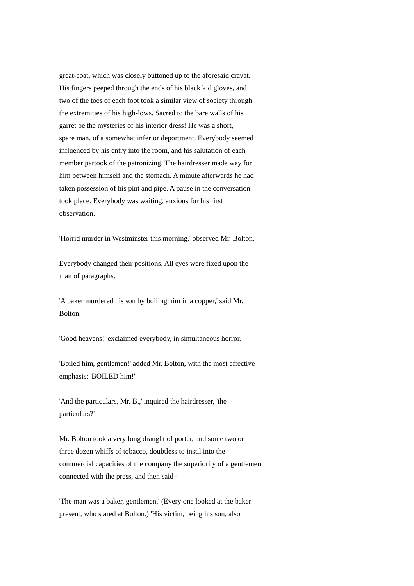great-coat, which was closely buttoned up to the aforesaid cravat. His fingers peeped through the ends of his black kid gloves, and two of the toes of each foot took a similar view of society through the extremities of his high-lows. Sacred to the bare walls of his garret be the mysteries of his interior dress! He was a short, spare man, of a somewhat inferior deportment. Everybody seemed influenced by his entry into the room, and his salutation of each member partook of the patronizing. The hairdresser made way for him between himself and the stomach. A minute afterwards he had taken possession of his pint and pipe. A pause in the conversation took place. Everybody was waiting, anxious for his first observation.

'Horrid murder in Westminster this morning,' observed Mr. Bolton.

Everybody changed their positions. All eyes were fixed upon the man of paragraphs.

'A baker murdered his son by boiling him in a copper,' said Mr. Bolton.

'Good heavens!' exclaimed everybody, in simultaneous horror.

'Boiled him, gentlemen!' added Mr. Bolton, with the most effective emphasis; 'BOILED him!'

'And the particulars, Mr. B.,' inquired the hairdresser, 'the particulars?'

Mr. Bolton took a very long draught of porter, and some two or three dozen whiffs of tobacco, doubtless to instil into the commercial capacities of the company the superiority of a gentlemen connected with the press, and then said -

'The man was a baker, gentlemen.' (Every one looked at the baker present, who stared at Bolton.) 'His victim, being his son, also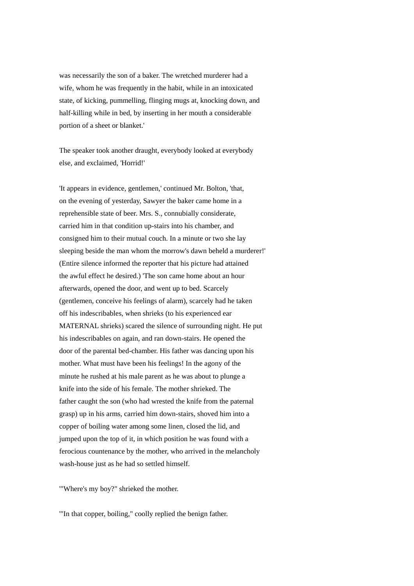was necessarily the son of a baker. The wretched murderer had a wife, whom he was frequently in the habit, while in an intoxicated state, of kicking, pummelling, flinging mugs at, knocking down, and half-killing while in bed, by inserting in her mouth a considerable portion of a sheet or blanket.'

The speaker took another draught, everybody looked at everybody else, and exclaimed, 'Horrid!'

'It appears in evidence, gentlemen,' continued Mr. Bolton, 'that, on the evening of yesterday, Sawyer the baker came home in a reprehensible state of beer. Mrs. S., connubially considerate, carried him in that condition up-stairs into his chamber, and consigned him to their mutual couch. In a minute or two she lay sleeping beside the man whom the morrow's dawn beheld a murderer!' (Entire silence informed the reporter that his picture had attained the awful effect he desired.) 'The son came home about an hour afterwards, opened the door, and went up to bed. Scarcely (gentlemen, conceive his feelings of alarm), scarcely had he taken off his indescribables, when shrieks (to his experienced ear MATERNAL shrieks) scared the silence of surrounding night. He put his indescribables on again, and ran down-stairs. He opened the door of the parental bed-chamber. His father was dancing upon his mother. What must have been his feelings! In the agony of the minute he rushed at his male parent as he was about to plunge a knife into the side of his female. The mother shrieked. The father caught the son (who had wrested the knife from the paternal grasp) up in his arms, carried him down-stairs, shoved him into a copper of boiling water among some linen, closed the lid, and jumped upon the top of it, in which position he was found with a ferocious countenance by the mother, who arrived in the melancholy wash-house just as he had so settled himself.

'"Where's my boy?" shrieked the mother.

'"In that copper, boiling," coolly replied the benign father.